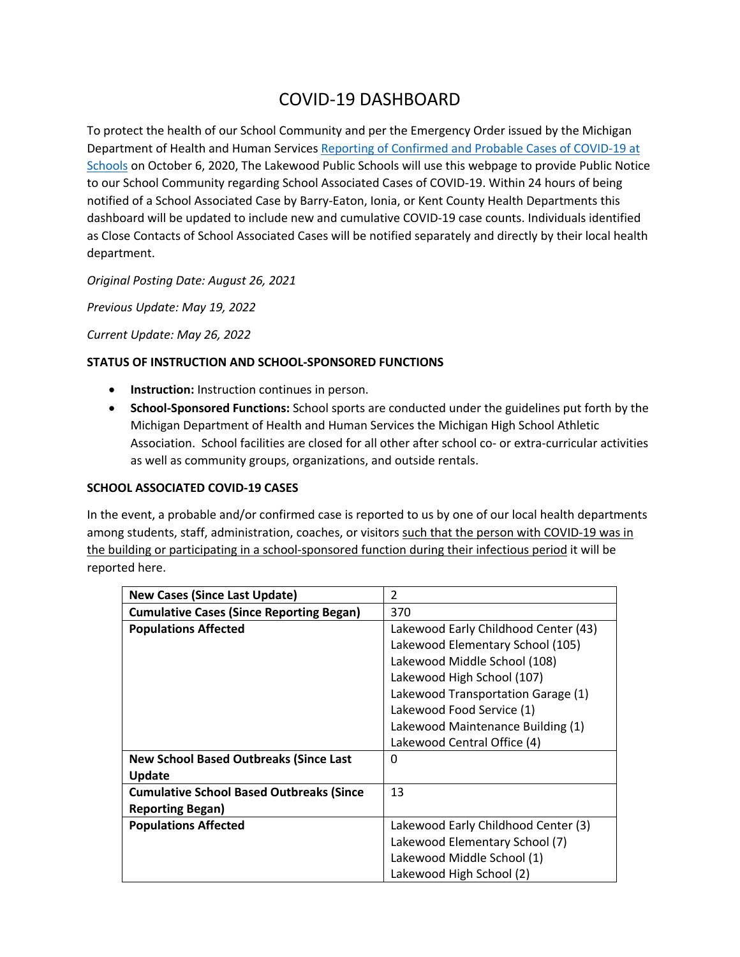## COVID-19 DASHBOARD

To protect the health of our School Community and per the Emergency Order issued by the Michigan Department of Health and Human Services Reporting of Confirmed and Probable Cases of COVID-19 at Schools on October 6, 2020, The Lakewood Public Schools will use this webpage to provide Public Notice to our School Community regarding School Associated Cases of COVID-19. Within 24 hours of being notified of a School Associated Case by Barry-Eaton, Ionia, or Kent County Health Departments this dashboard will be updated to include new and cumulative COVID-19 case counts. Individuals identified as Close Contacts of School Associated Cases will be notified separately and directly by their local health department.

*Original Posting Date: August 26, 2021*

*Previous Update: May 19, 2022*

*Current Update: May 26, 2022*

## **STATUS OF INSTRUCTION AND SCHOOL-SPONSORED FUNCTIONS**

- **Instruction:** Instruction continues in person.
- **School-Sponsored Functions:** School sports are conducted under the guidelines put forth by the Michigan Department of Health and Human Services the Michigan High School Athletic Association. School facilities are closed for all other after school co- or extra-curricular activities as well as community groups, organizations, and outside rentals.

## **SCHOOL ASSOCIATED COVID-19 CASES**

In the event, a probable and/or confirmed case is reported to us by one of our local health departments among students, staff, administration, coaches, or visitors such that the person with COVID-19 was in the building or participating in a school-sponsored function during their infectious period it will be reported here.

| <b>New Cases (Since Last Update)</b>            | $\mathfrak{p}$                       |
|-------------------------------------------------|--------------------------------------|
| <b>Cumulative Cases (Since Reporting Began)</b> | 370                                  |
| <b>Populations Affected</b>                     | Lakewood Early Childhood Center (43) |
|                                                 | Lakewood Elementary School (105)     |
|                                                 | Lakewood Middle School (108)         |
|                                                 | Lakewood High School (107)           |
|                                                 | Lakewood Transportation Garage (1)   |
|                                                 | Lakewood Food Service (1)            |
|                                                 | Lakewood Maintenance Building (1)    |
|                                                 | Lakewood Central Office (4)          |
| <b>New School Based Outbreaks (Since Last</b>   | 0                                    |
| <b>Update</b>                                   |                                      |
| <b>Cumulative School Based Outbreaks (Since</b> | 13                                   |
| <b>Reporting Began)</b>                         |                                      |
| <b>Populations Affected</b>                     | Lakewood Early Childhood Center (3)  |
|                                                 | Lakewood Elementary School (7)       |
|                                                 | Lakewood Middle School (1)           |
|                                                 | Lakewood High School (2)             |